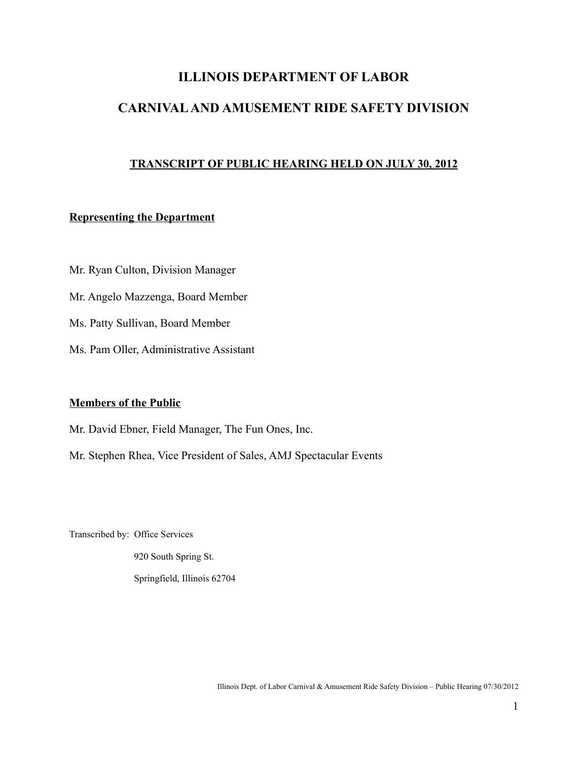## **ILLINOIS DEPARTMENT OF LABOR CARNIVAL AND AMUSEMENT RIDE SAFETY DIVISION**

## **TRANSCRIPT OF PUBLIC HEARING HELD ON JULY 30, 2012**

## **Representing the Department**

- Mr. Ryan Culton, Division Manager
- Mr. Angelo Mazzenga, Board Member
- Ms. Patty Sullivan, Board Member
- Ms. Pam Oller, Administrative Assistant

## **Members of the Public**

- Mr. David Ebner, Field Manager, The Fun Ones, Inc.
- Mr. Stephen Rhea, Vice President of Sales, AMJ Spectacular Events

Transcribed by: Office Services

 920 South Spring St. Springfield, Illinois 62704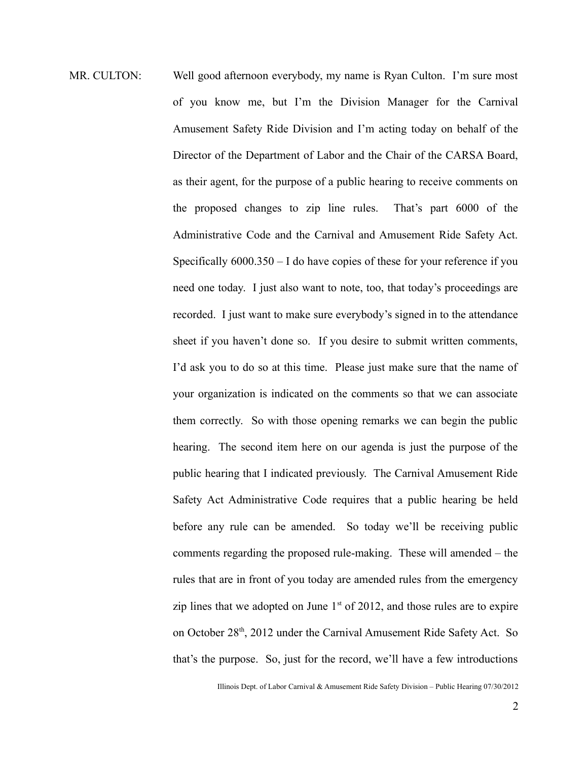MR. CULTON: Well good afternoon everybody, my name is Ryan Culton. I'm sure most of you know me, but I'm the Division Manager for the Carnival Amusement Safety Ride Division and I'm acting today on behalf of the Director of the Department of Labor and the Chair of the CARSA Board, as their agent, for the purpose of a public hearing to receive comments on the proposed changes to zip line rules. That's part 6000 of the Administrative Code and the Carnival and Amusement Ride Safety Act. Specifically 6000.350 – I do have copies of these for your reference if you need one today. I just also want to note, too, that today's proceedings are recorded. I just want to make sure everybody's signed in to the attendance sheet if you haven't done so. If you desire to submit written comments, I'd ask you to do so at this time. Please just make sure that the name of your organization is indicated on the comments so that we can associate them correctly. So with those opening remarks we can begin the public hearing. The second item here on our agenda is just the purpose of the public hearing that I indicated previously. The Carnival Amusement Ride Safety Act Administrative Code requires that a public hearing be held before any rule can be amended. So today we'll be receiving public comments regarding the proposed rule-making. These will amended – the rules that are in front of you today are amended rules from the emergency zip lines that we adopted on June  $1<sup>st</sup>$  of 2012, and those rules are to expire on October 28<sup>th</sup>, 2012 under the Carnival Amusement Ride Safety Act. So that's the purpose. So, just for the record, we'll have a few introductions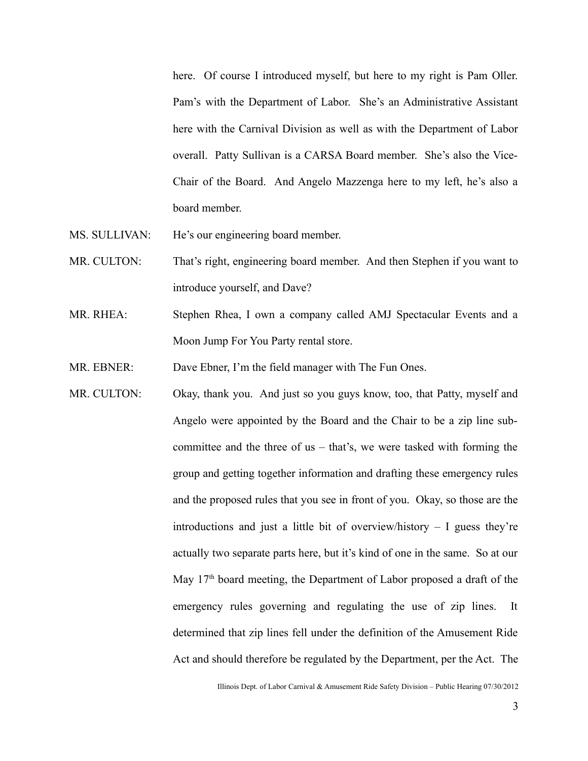here. Of course I introduced myself, but here to my right is Pam Oller. Pam's with the Department of Labor. She's an Administrative Assistant here with the Carnival Division as well as with the Department of Labor overall. Patty Sullivan is a CARSA Board member. She's also the Vice-Chair of the Board. And Angelo Mazzenga here to my left, he's also a board member.

- MS. SULLIVAN: He's our engineering board member.
- MR. CULTON: That's right, engineering board member. And then Stephen if you want to introduce yourself, and Dave?
- MR. RHEA: Stephen Rhea, I own a company called AMJ Spectacular Events and a Moon Jump For You Party rental store.
- MR. EBNER: Dave Ebner, I'm the field manager with The Fun Ones.
- MR. CULTON: Okay, thank you. And just so you guys know, too, that Patty, myself and Angelo were appointed by the Board and the Chair to be a zip line subcommittee and the three of us – that's, we were tasked with forming the group and getting together information and drafting these emergency rules and the proposed rules that you see in front of you. Okay, so those are the introductions and just a little bit of overview/history  $-$  I guess they're actually two separate parts here, but it's kind of one in the same. So at our May  $17<sup>th</sup>$  board meeting, the Department of Labor proposed a draft of the emergency rules governing and regulating the use of zip lines. It determined that zip lines fell under the definition of the Amusement Ride Act and should therefore be regulated by the Department, per the Act. The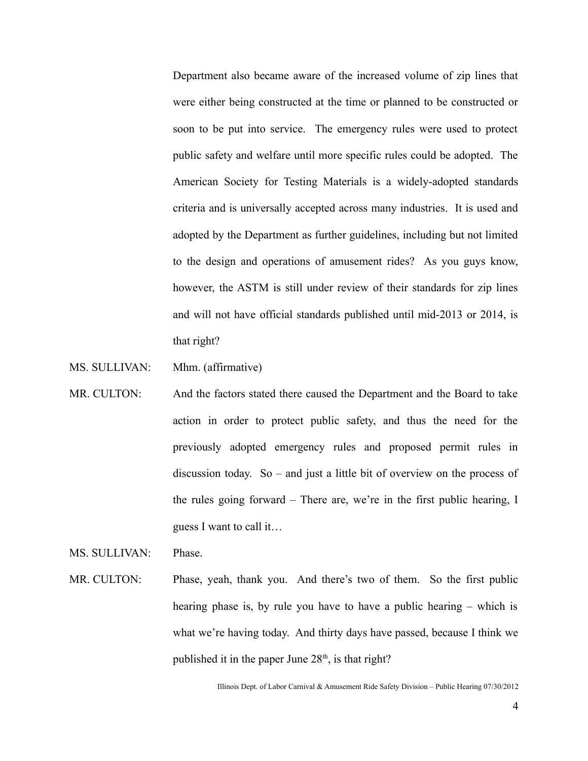Department also became aware of the increased volume of zip lines that were either being constructed at the time or planned to be constructed or soon to be put into service. The emergency rules were used to protect public safety and welfare until more specific rules could be adopted. The American Society for Testing Materials is a widely-adopted standards criteria and is universally accepted across many industries. It is used and adopted by the Department as further guidelines, including but not limited to the design and operations of amusement rides? As you guys know, however, the ASTM is still under review of their standards for zip lines and will not have official standards published until mid-2013 or 2014, is that right?

- MS. SULLIVAN: Mhm. (affirmative)
- MR. CULTON: And the factors stated there caused the Department and the Board to take action in order to protect public safety, and thus the need for the previously adopted emergency rules and proposed permit rules in discussion today. So – and just a little bit of overview on the process of the rules going forward – There are, we're in the first public hearing, I guess I want to call it…

MS. SULLIVAN: Phase.

MR. CULTON: Phase, yeah, thank you. And there's two of them. So the first public hearing phase is, by rule you have to have a public hearing – which is what we're having today. And thirty days have passed, because I think we published it in the paper June  $28<sup>th</sup>$ , is that right?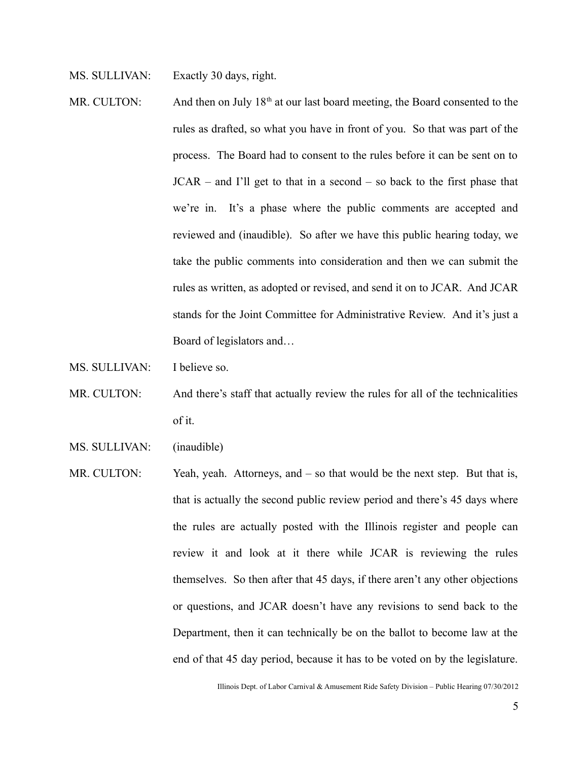MS. SULLIVAN: Exactly 30 days, right.

- MR. CULTON: And then on July  $18<sup>th</sup>$  at our last board meeting, the Board consented to the rules as drafted, so what you have in front of you. So that was part of the process. The Board had to consent to the rules before it can be sent on to JCAR – and I'll get to that in a second – so back to the first phase that we're in. It's a phase where the public comments are accepted and reviewed and (inaudible). So after we have this public hearing today, we take the public comments into consideration and then we can submit the rules as written, as adopted or revised, and send it on to JCAR. And JCAR stands for the Joint Committee for Administrative Review. And it's just a Board of legislators and…
- MS. SULLIVAN: I believe so.
- MR. CULTON: And there's staff that actually review the rules for all of the technicalities of it.
- MS. SULLIVAN: (inaudible)
- MR. CULTON: Yeah, yeah. Attorneys, and so that would be the next step. But that is, that is actually the second public review period and there's 45 days where the rules are actually posted with the Illinois register and people can review it and look at it there while JCAR is reviewing the rules themselves. So then after that 45 days, if there aren't any other objections or questions, and JCAR doesn't have any revisions to send back to the Department, then it can technically be on the ballot to become law at the end of that 45 day period, because it has to be voted on by the legislature.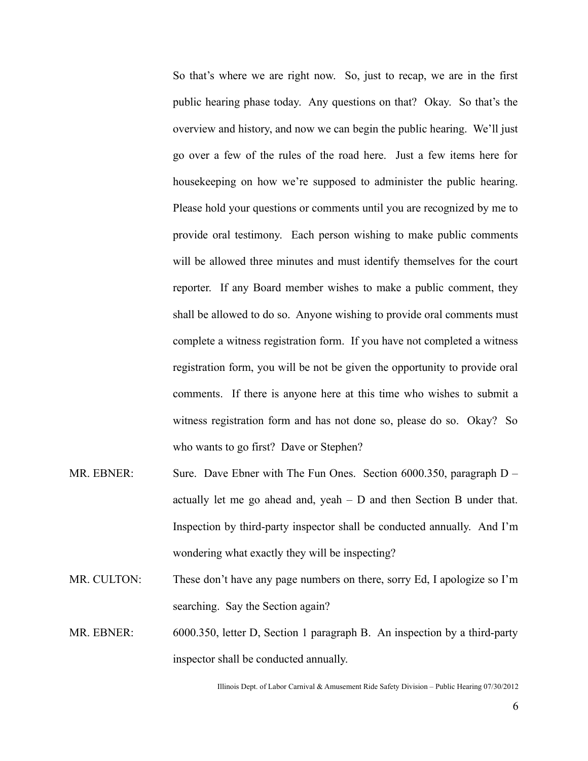So that's where we are right now. So, just to recap, we are in the first public hearing phase today. Any questions on that? Okay. So that's the overview and history, and now we can begin the public hearing. We'll just go over a few of the rules of the road here. Just a few items here for housekeeping on how we're supposed to administer the public hearing. Please hold your questions or comments until you are recognized by me to provide oral testimony. Each person wishing to make public comments will be allowed three minutes and must identify themselves for the court reporter. If any Board member wishes to make a public comment, they shall be allowed to do so. Anyone wishing to provide oral comments must complete a witness registration form. If you have not completed a witness registration form, you will be not be given the opportunity to provide oral comments. If there is anyone here at this time who wishes to submit a witness registration form and has not done so, please do so. Okay? So who wants to go first? Dave or Stephen?

- MR. EBNER: Sure. Dave Ebner with The Fun Ones. Section 6000.350, paragraph D actually let me go ahead and, yeah – D and then Section B under that. Inspection by third-party inspector shall be conducted annually. And I'm wondering what exactly they will be inspecting?
- MR. CULTON: These don't have any page numbers on there, sorry Ed, I apologize so I'm searching. Say the Section again?
- MR. EBNER: 6000.350, letter D, Section 1 paragraph B. An inspection by a third-party inspector shall be conducted annually.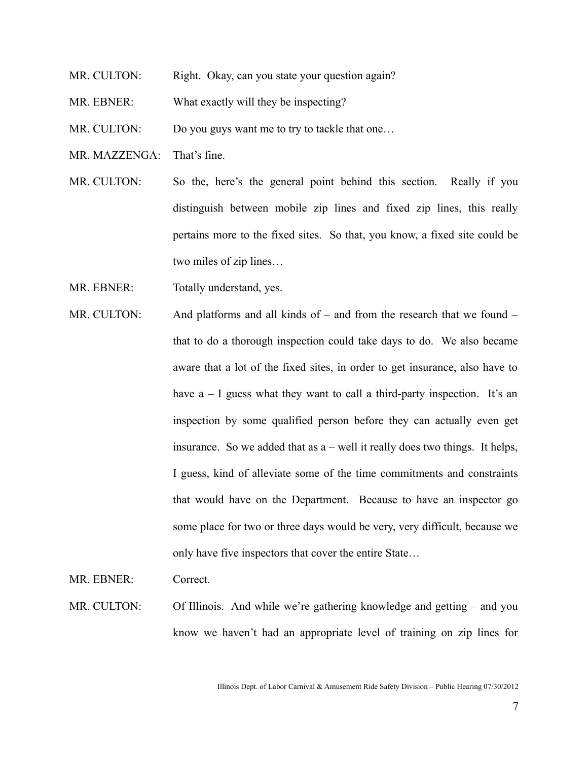- MR. CULTON: Right. Okay, can you state your question again?
- MR. EBNER: What exactly will they be inspecting?

MR. CULTON: Do you guys want me to try to tackle that one...

- MR. MAZZENGA: That's fine.
- MR. CULTON: So the, here's the general point behind this section. Really if you distinguish between mobile zip lines and fixed zip lines, this really pertains more to the fixed sites. So that, you know, a fixed site could be two miles of zip lines…
- MR. EBNER: Totally understand, yes.
- MR. CULTON: And platforms and all kinds of and from the research that we found that to do a thorough inspection could take days to do. We also became aware that a lot of the fixed sites, in order to get insurance, also have to have  $a - I$  guess what they want to call a third-party inspection. It's an inspection by some qualified person before they can actually even get insurance. So we added that as a – well it really does two things. It helps, I guess, kind of alleviate some of the time commitments and constraints that would have on the Department. Because to have an inspector go some place for two or three days would be very, very difficult, because we only have five inspectors that cover the entire State…

MR. EBNER: Correct.

MR. CULTON: Of Illinois. And while we're gathering knowledge and getting – and you know we haven't had an appropriate level of training on zip lines for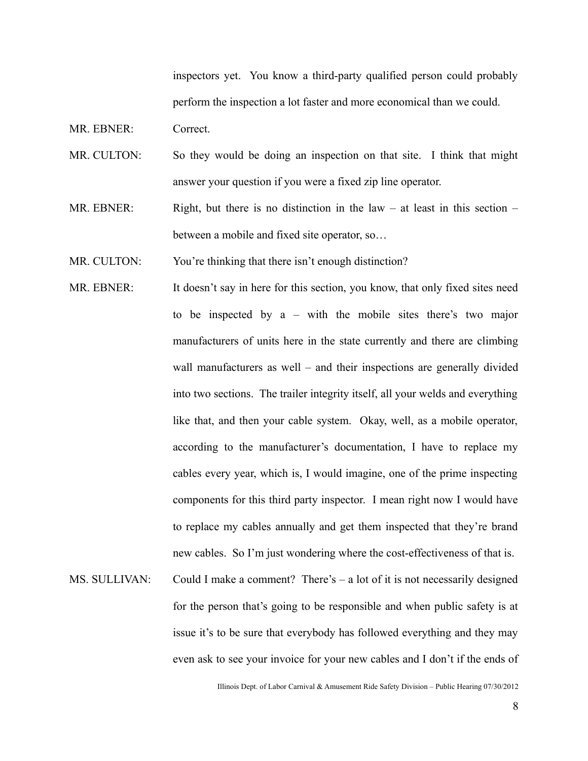inspectors yet. You know a third-party qualified person could probably perform the inspection a lot faster and more economical than we could.

MR. EBNER: Correct.

- MR. CULTON: So they would be doing an inspection on that site. I think that might answer your question if you were a fixed zip line operator.
- MR. EBNER: Right, but there is no distinction in the law at least in this section between a mobile and fixed site operator, so…

MR. CULTON: You're thinking that there isn't enough distinction?

- MR. EBNER: It doesn't say in here for this section, you know, that only fixed sites need to be inspected by a – with the mobile sites there's two major manufacturers of units here in the state currently and there are climbing wall manufacturers as well – and their inspections are generally divided into two sections. The trailer integrity itself, all your welds and everything like that, and then your cable system. Okay, well, as a mobile operator, according to the manufacturer's documentation, I have to replace my cables every year, which is, I would imagine, one of the prime inspecting components for this third party inspector. I mean right now I would have to replace my cables annually and get them inspected that they're brand new cables. So I'm just wondering where the cost-effectiveness of that is. MS. SULLIVAN: Could I make a comment? There's – a lot of it is not necessarily designed
- for the person that's going to be responsible and when public safety is at issue it's to be sure that everybody has followed everything and they may even ask to see your invoice for your new cables and I don't if the ends of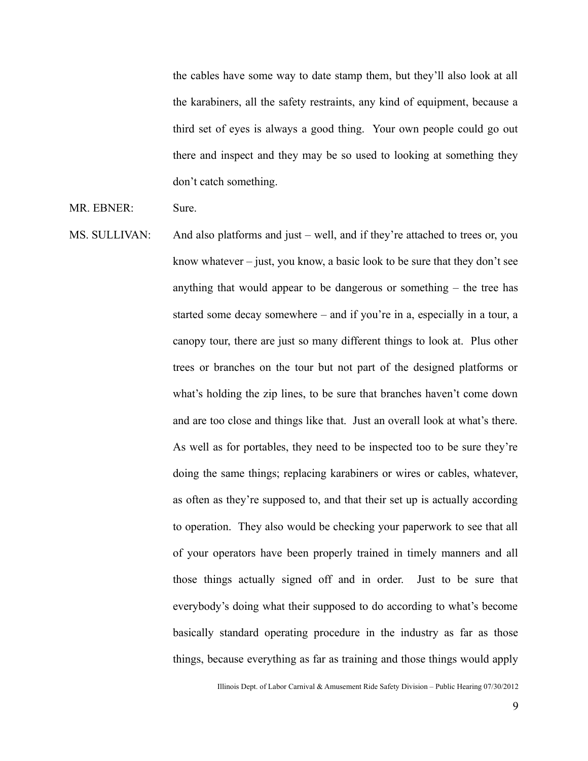the cables have some way to date stamp them, but they'll also look at all the karabiners, all the safety restraints, any kind of equipment, because a third set of eyes is always a good thing. Your own people could go out there and inspect and they may be so used to looking at something they don't catch something.

- MR. EBNER: Sure.
- MS. SULLIVAN: And also platforms and just well, and if they're attached to trees or, you know whatever – just, you know, a basic look to be sure that they don't see anything that would appear to be dangerous or something – the tree has started some decay somewhere – and if you're in a, especially in a tour, a canopy tour, there are just so many different things to look at. Plus other trees or branches on the tour but not part of the designed platforms or what's holding the zip lines, to be sure that branches haven't come down and are too close and things like that. Just an overall look at what's there. As well as for portables, they need to be inspected too to be sure they're doing the same things; replacing karabiners or wires or cables, whatever, as often as they're supposed to, and that their set up is actually according to operation. They also would be checking your paperwork to see that all of your operators have been properly trained in timely manners and all those things actually signed off and in order. Just to be sure that everybody's doing what their supposed to do according to what's become basically standard operating procedure in the industry as far as those things, because everything as far as training and those things would apply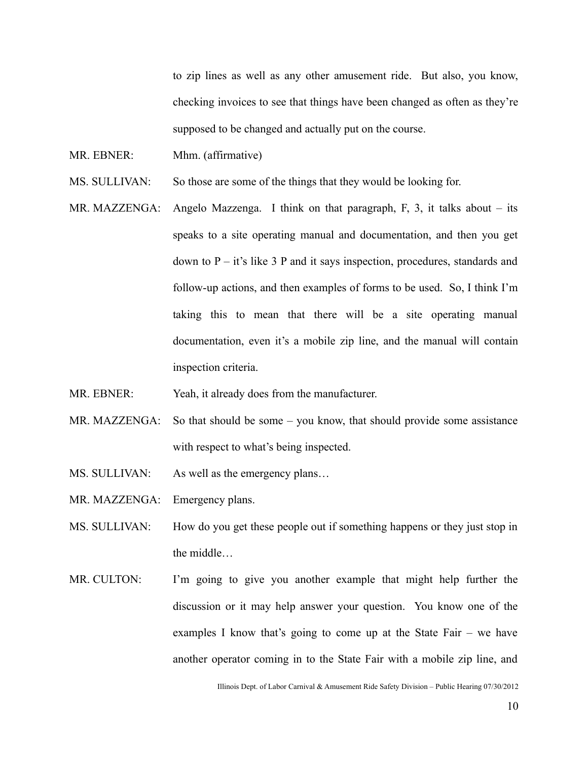to zip lines as well as any other amusement ride. But also, you know, checking invoices to see that things have been changed as often as they're supposed to be changed and actually put on the course.

- MR. EBNER: Mhm. (affirmative)
- MS. SULLIVAN: So those are some of the things that they would be looking for.
- MR. MAZZENGA: Angelo Mazzenga. I think on that paragraph, F, 3, it talks about its speaks to a site operating manual and documentation, and then you get down to  $P - it's like 3 P and it says inspection, procedures, standards and$ follow-up actions, and then examples of forms to be used. So, I think I'm taking this to mean that there will be a site operating manual documentation, even it's a mobile zip line, and the manual will contain inspection criteria.
- MR. EBNER: Yeah, it already does from the manufacturer.
- MR. MAZZENGA: So that should be some you know, that should provide some assistance with respect to what's being inspected.
- MS. SULLIVAN: As well as the emergency plans...
- MR. MAZZENGA: Emergency plans.
- MS. SULLIVAN: How do you get these people out if something happens or they just stop in the middle…
- MR. CULTON: I'm going to give you another example that might help further the discussion or it may help answer your question. You know one of the examples I know that's going to come up at the State Fair – we have another operator coming in to the State Fair with a mobile zip line, and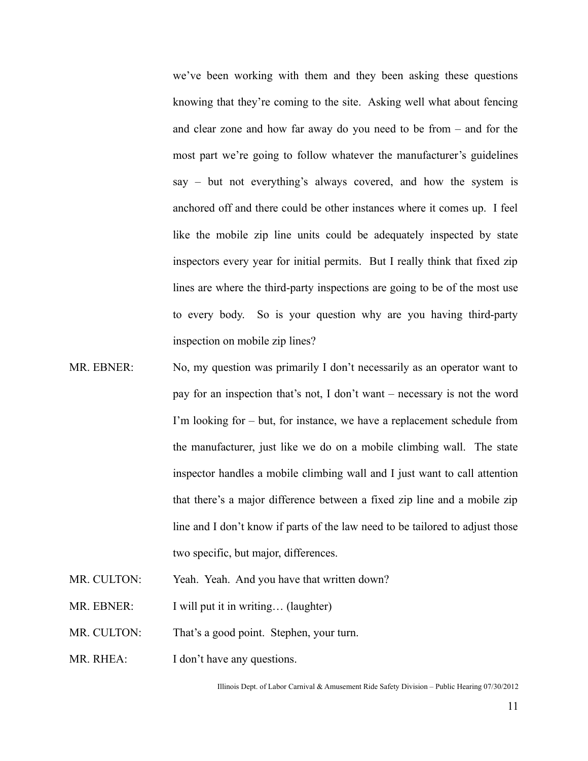we've been working with them and they been asking these questions knowing that they're coming to the site. Asking well what about fencing and clear zone and how far away do you need to be from – and for the most part we're going to follow whatever the manufacturer's guidelines say – but not everything's always covered, and how the system is anchored off and there could be other instances where it comes up. I feel like the mobile zip line units could be adequately inspected by state inspectors every year for initial permits. But I really think that fixed zip lines are where the third-party inspections are going to be of the most use to every body. So is your question why are you having third-party inspection on mobile zip lines?

- MR. EBNER: No, my question was primarily I don't necessarily as an operator want to pay for an inspection that's not, I don't want – necessary is not the word I'm looking for – but, for instance, we have a replacement schedule from the manufacturer, just like we do on a mobile climbing wall. The state inspector handles a mobile climbing wall and I just want to call attention that there's a major difference between a fixed zip line and a mobile zip line and I don't know if parts of the law need to be tailored to adjust those two specific, but major, differences.
- MR. CULTON: Yeah. Yeah. And you have that written down?
- MR. EBNER: I will put it in writing... (laughter)
- MR. CULTON: That's a good point. Stephen, your turn.
- MR. RHEA: I don't have any questions.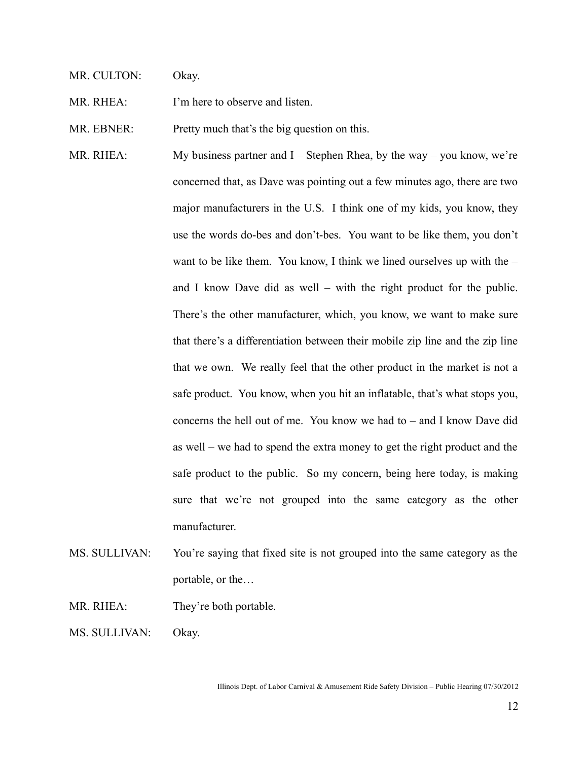MR. CULTON: Okay.

MR. RHEA: I'm here to observe and listen.

MR. EBNER: Pretty much that's the big question on this.

- MR. RHEA: My business partner and  $I$  Stephen Rhea, by the way you know, we're concerned that, as Dave was pointing out a few minutes ago, there are two major manufacturers in the U.S. I think one of my kids, you know, they use the words do-bes and don't-bes. You want to be like them, you don't want to be like them. You know, I think we lined ourselves up with the – and I know Dave did as well – with the right product for the public. There's the other manufacturer, which, you know, we want to make sure that there's a differentiation between their mobile zip line and the zip line that we own. We really feel that the other product in the market is not a safe product. You know, when you hit an inflatable, that's what stops you, concerns the hell out of me. You know we had to – and I know Dave did as well – we had to spend the extra money to get the right product and the safe product to the public. So my concern, being here today, is making sure that we're not grouped into the same category as the other manufacturer.
- MS. SULLIVAN: You're saying that fixed site is not grouped into the same category as the portable, or the…
- MR. RHEA: They're both portable.

MS. SULLIVAN: Okay.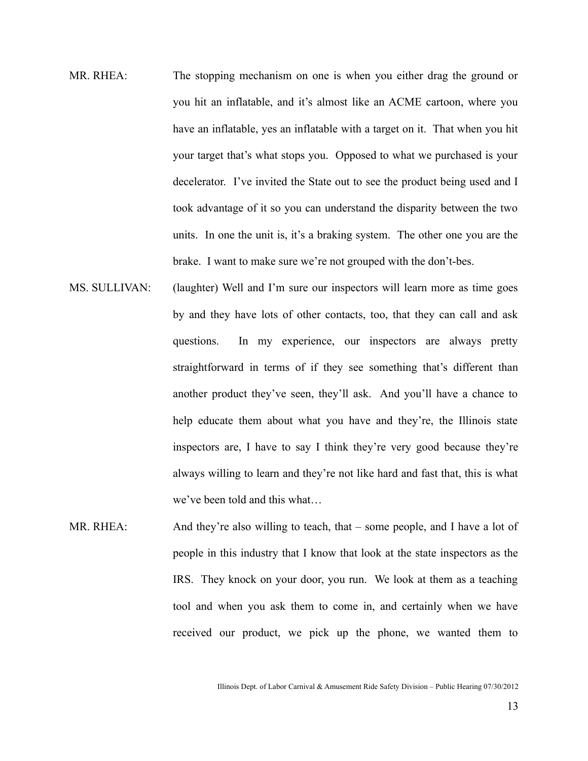- MR. RHEA: The stopping mechanism on one is when you either drag the ground or you hit an inflatable, and it's almost like an ACME cartoon, where you have an inflatable, yes an inflatable with a target on it. That when you hit your target that's what stops you. Opposed to what we purchased is your decelerator. I've invited the State out to see the product being used and I took advantage of it so you can understand the disparity between the two units. In one the unit is, it's a braking system. The other one you are the brake. I want to make sure we're not grouped with the don't-bes.
- MS. SULLIVAN: (laughter) Well and I'm sure our inspectors will learn more as time goes by and they have lots of other contacts, too, that they can call and ask questions. In my experience, our inspectors are always pretty straightforward in terms of if they see something that's different than another product they've seen, they'll ask. And you'll have a chance to help educate them about what you have and they're, the Illinois state inspectors are, I have to say I think they're very good because they're always willing to learn and they're not like hard and fast that, this is what we've been told and this what…
- MR. RHEA: And they're also willing to teach, that some people, and I have a lot of people in this industry that I know that look at the state inspectors as the IRS. They knock on your door, you run. We look at them as a teaching tool and when you ask them to come in, and certainly when we have received our product, we pick up the phone, we wanted them to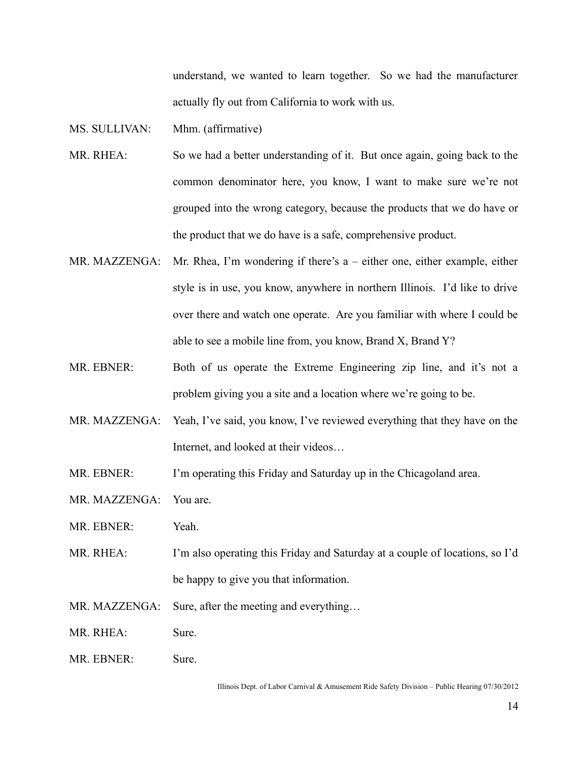understand, we wanted to learn together. So we had the manufacturer actually fly out from California to work with us.

MS. SULLIVAN: Mhm. (affirmative)

- MR. RHEA: So we had a better understanding of it. But once again, going back to the common denominator here, you know, I want to make sure we're not grouped into the wrong category, because the products that we do have or the product that we do have is a safe, comprehensive product.
- MR. MAZZENGA: Mr. Rhea, I'm wondering if there's a either one, either example, either style is in use, you know, anywhere in northern Illinois. I'd like to drive over there and watch one operate. Are you familiar with where I could be able to see a mobile line from, you know, Brand X, Brand Y?
- MR. EBNER: Both of us operate the Extreme Engineering zip line, and it's not a problem giving you a site and a location where we're going to be.
- MR. MAZZENGA: Yeah, I've said, you know, I've reviewed everything that they have on the Internet, and looked at their videos…
- MR. EBNER: I'm operating this Friday and Saturday up in the Chicagoland area.
- MR. MAZZENGA: You are.
- MR. EBNER: Yeah.
- MR. RHEA: I'm also operating this Friday and Saturday at a couple of locations, so I'd be happy to give you that information.
- MR. MAZZENGA: Sure, after the meeting and everything...
- MR. RHEA: Sure.
- MR. EBNER: Sure.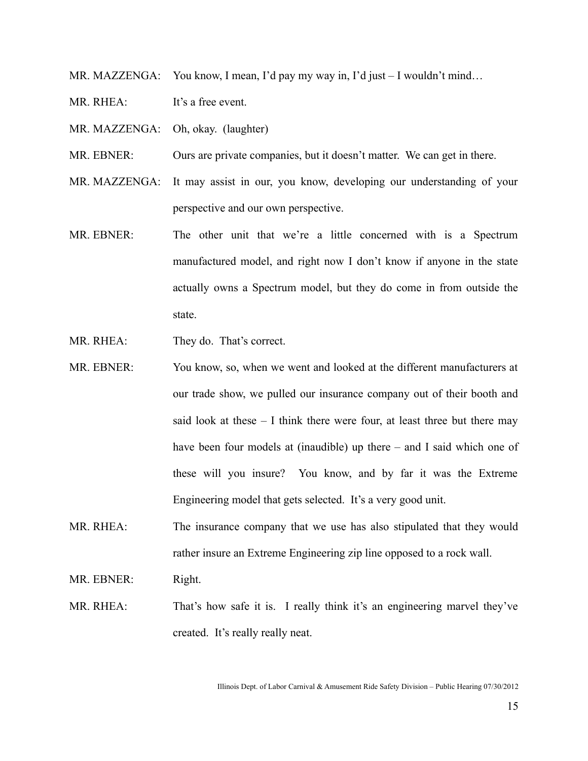MR. MAZZENGA: You know, I mean, I'd pay my way in, I'd just – I wouldn't mind…

- MR. RHEA $\cdot$  It's a free event.
- MR. MAZZENGA: Oh, okay. (laughter)
- MR. EBNER: Ours are private companies, but it doesn't matter. We can get in there.
- MR. MAZZENGA: It may assist in our, you know, developing our understanding of your perspective and our own perspective.
- MR. EBNER: The other unit that we're a little concerned with is a Spectrum manufactured model, and right now I don't know if anyone in the state actually owns a Spectrum model, but they do come in from outside the state.
- MR. RHEA: They do. That's correct.
- MR. EBNER: You know, so, when we went and looked at the different manufacturers at our trade show, we pulled our insurance company out of their booth and said look at these  $-1$  think there were four, at least three but there may have been four models at (inaudible) up there – and I said which one of these will you insure? You know, and by far it was the Extreme Engineering model that gets selected. It's a very good unit.
- MR. RHEA: The insurance company that we use has also stipulated that they would rather insure an Extreme Engineering zip line opposed to a rock wall.

MR. EBNER: Right.

MR. RHEA: That's how safe it is. I really think it's an engineering marvel they've created. It's really really neat.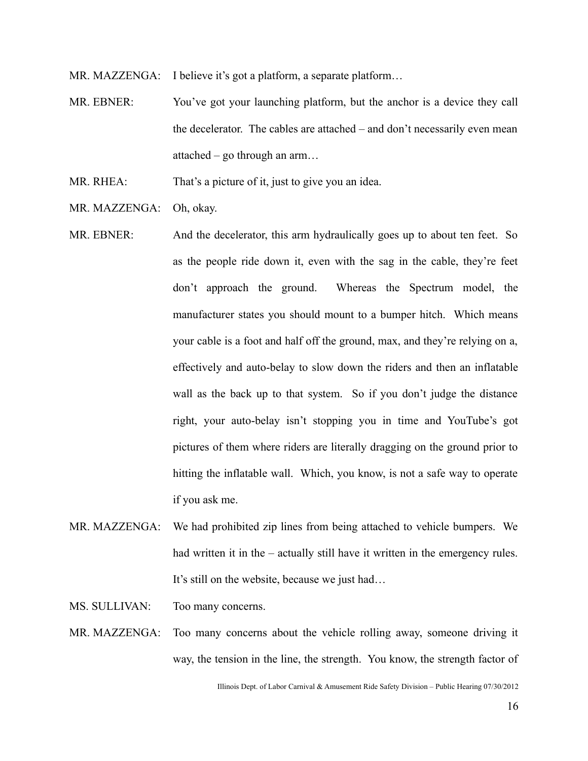MR. MAZZENGA: I believe it's got a platform, a separate platform...

MR. EBNER: You've got your launching platform, but the anchor is a device they call the decelerator. The cables are attached – and don't necessarily even mean attached – go through an arm…

MR. RHEA: That's a picture of it, just to give you an idea.

MR. MAZZENGA: Oh, okay.

- MR. EBNER: And the decelerator, this arm hydraulically goes up to about ten feet. So as the people ride down it, even with the sag in the cable, they're feet don't approach the ground. Whereas the Spectrum model, the manufacturer states you should mount to a bumper hitch. Which means your cable is a foot and half off the ground, max, and they're relying on a, effectively and auto-belay to slow down the riders and then an inflatable wall as the back up to that system. So if you don't judge the distance right, your auto-belay isn't stopping you in time and YouTube's got pictures of them where riders are literally dragging on the ground prior to hitting the inflatable wall. Which, you know, is not a safe way to operate if you ask me.
- MR. MAZZENGA: We had prohibited zip lines from being attached to vehicle bumpers. We had written it in the – actually still have it written in the emergency rules. It's still on the website, because we just had…

MS. SULLIVAN: Too many concerns.

MR. MAZZENGA: Too many concerns about the vehicle rolling away, someone driving it way, the tension in the line, the strength. You know, the strength factor of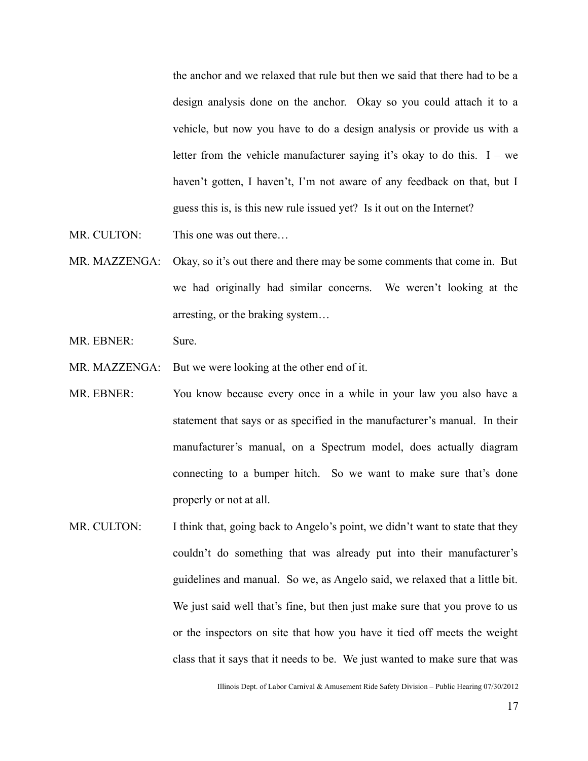the anchor and we relaxed that rule but then we said that there had to be a design analysis done on the anchor. Okay so you could attach it to a vehicle, but now you have to do a design analysis or provide us with a letter from the vehicle manufacturer saying it's okay to do this.  $I - we$ haven't gotten, I haven't, I'm not aware of any feedback on that, but I guess this is, is this new rule issued yet? Is it out on the Internet?

- MR. CULTON: This one was out there...
- MR. MAZZENGA: Okay, so it's out there and there may be some comments that come in. But we had originally had similar concerns. We weren't looking at the arresting, or the braking system…
- MR. EBNER: Sure.

MR. MAZZENGA: But we were looking at the other end of it.

- MR. EBNER: You know because every once in a while in your law you also have a statement that says or as specified in the manufacturer's manual. In their manufacturer's manual, on a Spectrum model, does actually diagram connecting to a bumper hitch. So we want to make sure that's done properly or not at all.
- MR. CULTON: I think that, going back to Angelo's point, we didn't want to state that they couldn't do something that was already put into their manufacturer's guidelines and manual. So we, as Angelo said, we relaxed that a little bit. We just said well that's fine, but then just make sure that you prove to us or the inspectors on site that how you have it tied off meets the weight class that it says that it needs to be. We just wanted to make sure that was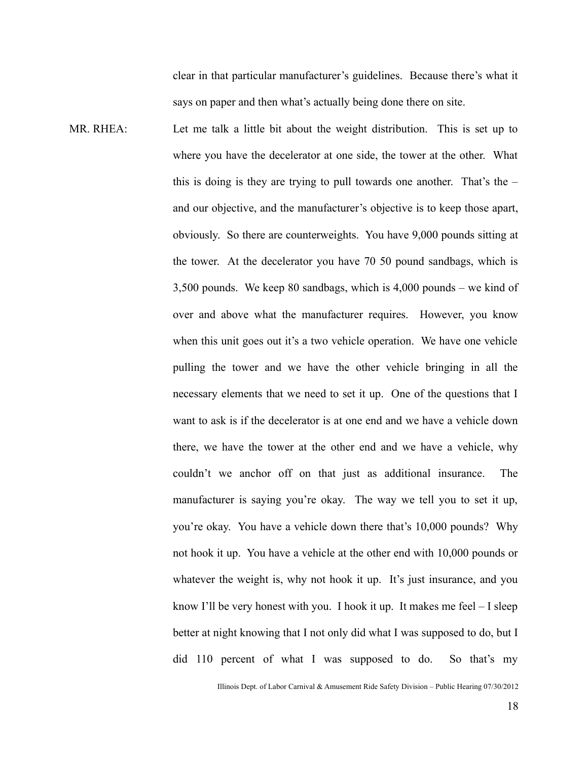clear in that particular manufacturer's guidelines. Because there's what it says on paper and then what's actually being done there on site.

MR. RHEA: Let me talk a little bit about the weight distribution. This is set up to where you have the decelerator at one side, the tower at the other. What this is doing is they are trying to pull towards one another. That's the – and our objective, and the manufacturer's objective is to keep those apart, obviously. So there are counterweights. You have 9,000 pounds sitting at the tower. At the decelerator you have 70 50 pound sandbags, which is 3,500 pounds. We keep 80 sandbags, which is 4,000 pounds – we kind of over and above what the manufacturer requires. However, you know when this unit goes out it's a two vehicle operation. We have one vehicle pulling the tower and we have the other vehicle bringing in all the necessary elements that we need to set it up. One of the questions that I want to ask is if the decelerator is at one end and we have a vehicle down there, we have the tower at the other end and we have a vehicle, why couldn't we anchor off on that just as additional insurance. The manufacturer is saying you're okay. The way we tell you to set it up, you're okay. You have a vehicle down there that's 10,000 pounds? Why not hook it up. You have a vehicle at the other end with 10,000 pounds or whatever the weight is, why not hook it up. It's just insurance, and you know I'll be very honest with you. I hook it up. It makes me feel – I sleep better at night knowing that I not only did what I was supposed to do, but I did 110 percent of what I was supposed to do. So that's my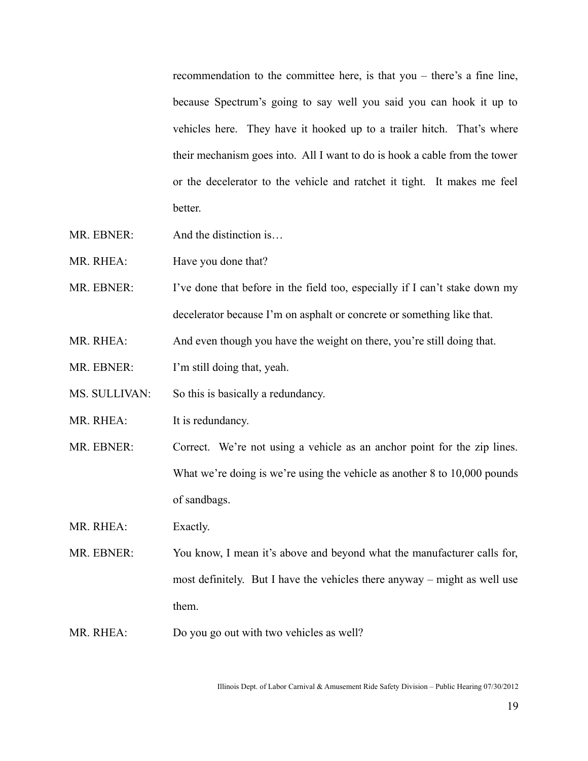recommendation to the committee here, is that you – there's a fine line, because Spectrum's going to say well you said you can hook it up to vehicles here. They have it hooked up to a trailer hitch. That's where their mechanism goes into. All I want to do is hook a cable from the tower or the decelerator to the vehicle and ratchet it tight. It makes me feel **better** 

- MR. EBNER: And the distinction is...
- MR. RHEA: Have you done that?
- MR. EBNER: I've done that before in the field too, especially if I can't stake down my decelerator because I'm on asphalt or concrete or something like that.
- MR. RHEA: And even though you have the weight on there, you're still doing that.
- MR. EBNER: I'm still doing that, yeah.
- MS. SULLIVAN: So this is basically a redundancy.
- MR. RHEA: It is redundancy.
- MR. EBNER: Correct. We're not using a vehicle as an anchor point for the zip lines. What we're doing is we're using the vehicle as another 8 to 10,000 pounds of sandbags.

MR. RHEA: Exactly.

- MR. EBNER: You know, I mean it's above and beyond what the manufacturer calls for, most definitely. But I have the vehicles there anyway – might as well use them.
- MR. RHEA: Do you go out with two vehicles as well?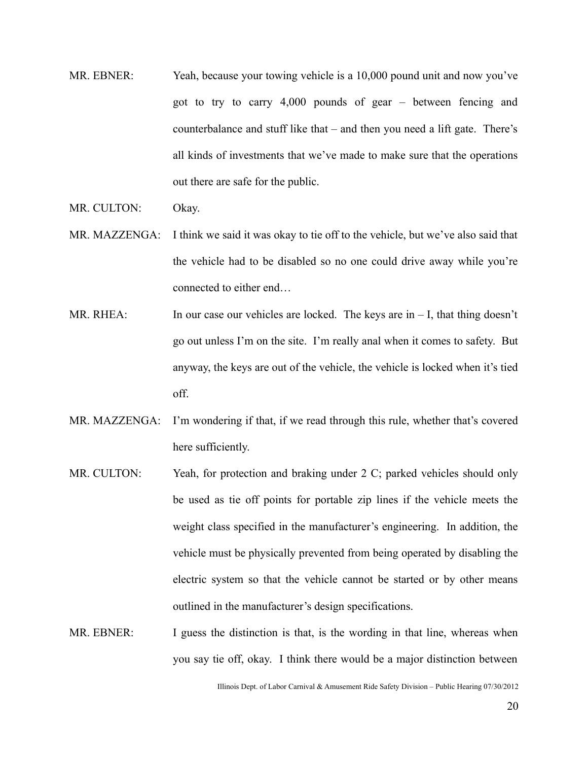- MR. EBNER: Yeah, because your towing vehicle is a 10,000 pound unit and now you've got to try to carry 4,000 pounds of gear – between fencing and counterbalance and stuff like that – and then you need a lift gate. There's all kinds of investments that we've made to make sure that the operations out there are safe for the public.
- MR. CULTON: Okay.
- MR. MAZZENGA: I think we said it was okay to tie off to the vehicle, but we've also said that the vehicle had to be disabled so no one could drive away while you're connected to either end…
- MR. RHEA: In our case our vehicles are locked. The keys are  $in I$ , that thing doesn't go out unless I'm on the site. I'm really anal when it comes to safety. But anyway, the keys are out of the vehicle, the vehicle is locked when it's tied off.
- MR. MAZZENGA: I'm wondering if that, if we read through this rule, whether that's covered here sufficiently.
- MR. CULTON: Yeah, for protection and braking under 2 C; parked vehicles should only be used as tie off points for portable zip lines if the vehicle meets the weight class specified in the manufacturer's engineering. In addition, the vehicle must be physically prevented from being operated by disabling the electric system so that the vehicle cannot be started or by other means outlined in the manufacturer's design specifications.
- MR. EBNER: I guess the distinction is that, is the wording in that line, whereas when you say tie off, okay. I think there would be a major distinction between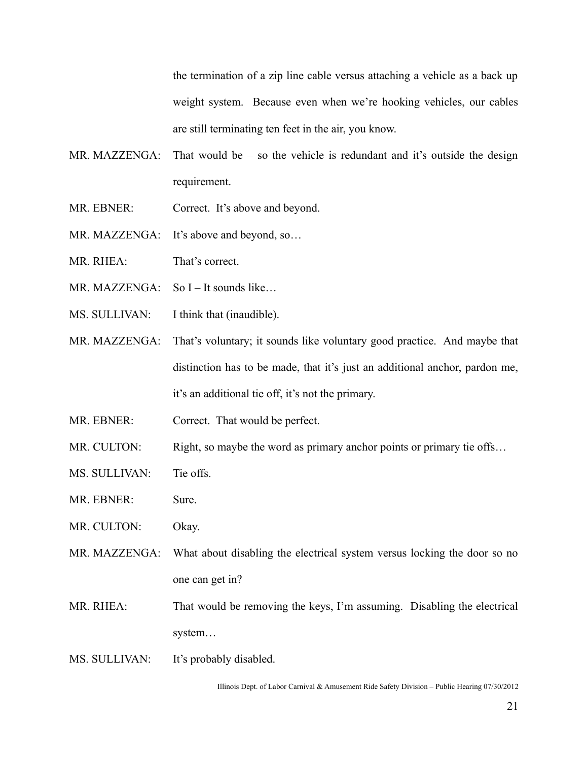the termination of a zip line cable versus attaching a vehicle as a back up weight system. Because even when we're hooking vehicles, our cables are still terminating ten feet in the air, you know.

- MR. MAZZENGA: That would be so the vehicle is redundant and it's outside the design requirement.
- MR. EBNER: Correct. It's above and beyond.
- MR. MAZZENGA: It's above and beyond, so...
- MR. RHEA: That's correct.
- MR. MAZZENGA: So I It sounds like…
- MS. SULLIVAN: I think that (inaudible).
- MR. MAZZENGA: That's voluntary; it sounds like voluntary good practice. And maybe that distinction has to be made, that it's just an additional anchor, pardon me, it's an additional tie off, it's not the primary.
- MR. EBNER: Correct. That would be perfect.
- MR. CULTON: Right, so maybe the word as primary anchor points or primary tie offs...
- MS. SULLIVAN: Tie offs.
- MR. EBNER: Sure.
- MR. CULTON: Okay.
- MR. MAZZENGA: What about disabling the electrical system versus locking the door so no one can get in?
- MR. RHEA: That would be removing the keys, I'm assuming. Disabling the electrical system…
- MS. SULLIVAN: It's probably disabled.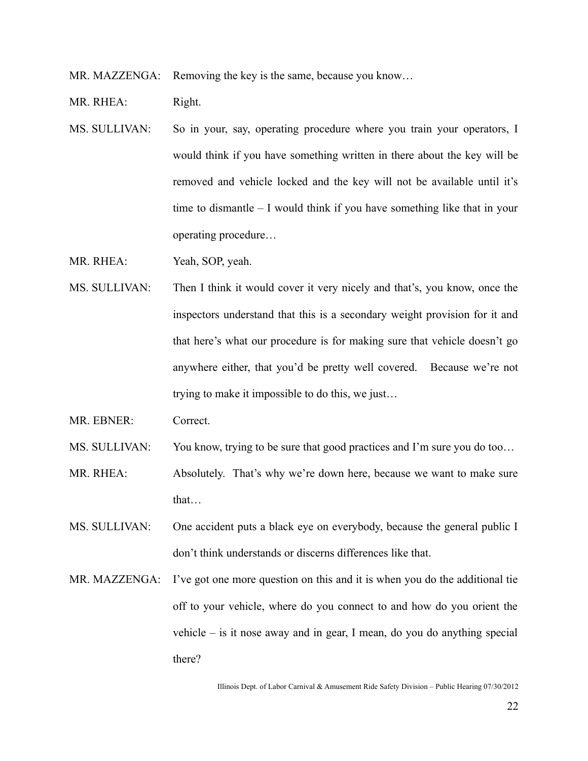MR. MAZZENGA: Removing the key is the same, because you know...

MR. RHEA: Right.

MS. SULLIVAN: So in your, say, operating procedure where you train your operators, I would think if you have something written in there about the key will be removed and vehicle locked and the key will not be available until it's time to dismantle – I would think if you have something like that in your operating procedure…

MR. RHEA: Yeah, SOP, yeah.

MS. SULLIVAN: Then I think it would cover it very nicely and that's, you know, once the inspectors understand that this is a secondary weight provision for it and that here's what our procedure is for making sure that vehicle doesn't go anywhere either, that you'd be pretty well covered. Because we're not trying to make it impossible to do this, we just…

MR. EBNER: Correct.

MS. SULLIVAN: You know, trying to be sure that good practices and I'm sure you do too...

MR. RHEA: Absolutely. That's why we're down here, because we want to make sure that…

- MS. SULLIVAN: One accident puts a black eye on everybody, because the general public I don't think understands or discerns differences like that.
- MR. MAZZENGA: I've got one more question on this and it is when you do the additional tie off to your vehicle, where do you connect to and how do you orient the vehicle – is it nose away and in gear, I mean, do you do anything special there?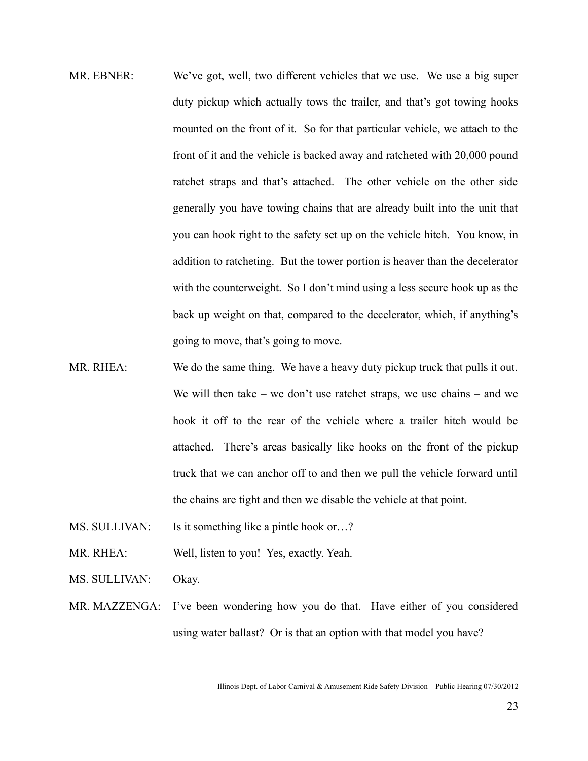- MR. EBNER: We've got, well, two different vehicles that we use. We use a big super duty pickup which actually tows the trailer, and that's got towing hooks mounted on the front of it. So for that particular vehicle, we attach to the front of it and the vehicle is backed away and ratcheted with 20,000 pound ratchet straps and that's attached. The other vehicle on the other side generally you have towing chains that are already built into the unit that you can hook right to the safety set up on the vehicle hitch. You know, in addition to ratcheting. But the tower portion is heaver than the decelerator with the counterweight. So I don't mind using a less secure hook up as the back up weight on that, compared to the decelerator, which, if anything's going to move, that's going to move.
- MR. RHEA: We do the same thing. We have a heavy duty pickup truck that pulls it out. We will then take – we don't use ratchet straps, we use chains – and we hook it off to the rear of the vehicle where a trailer hitch would be attached. There's areas basically like hooks on the front of the pickup truck that we can anchor off to and then we pull the vehicle forward until the chains are tight and then we disable the vehicle at that point.
- MS. SULLIVAN: Is it something like a pintle hook or...?
- MR. RHEA: Well, listen to you! Yes, exactly. Yeah.
- MS. SULLIVAN: Okay.
- MR. MAZZENGA: I've been wondering how you do that. Have either of you considered using water ballast? Or is that an option with that model you have?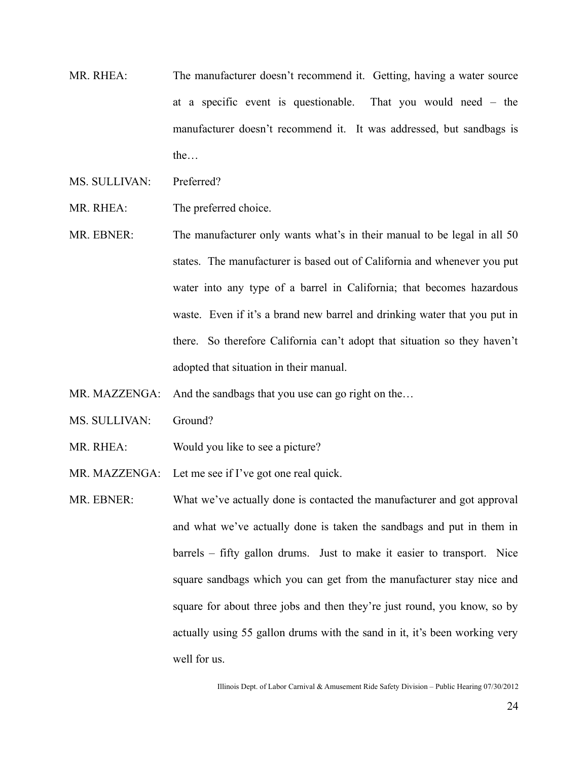- MR. RHEA: The manufacturer doesn't recommend it. Getting, having a water source at a specific event is questionable. That you would need – the manufacturer doesn't recommend it. It was addressed, but sandbags is the…
- MS. SULLIVAN: Preferred?
- MR. RHEA: The preferred choice.
- MR. EBNER: The manufacturer only wants what's in their manual to be legal in all 50 states. The manufacturer is based out of California and whenever you put water into any type of a barrel in California; that becomes hazardous waste. Even if it's a brand new barrel and drinking water that you put in there. So therefore California can't adopt that situation so they haven't adopted that situation in their manual.
- MR. MAZZENGA: And the sandbags that you use can go right on the...
- MS. SULLIVAN: Ground?
- MR. RHEA: Would you like to see a picture?
- MR. MAZZENGA: Let me see if I've got one real quick.
- MR. EBNER: What we've actually done is contacted the manufacturer and got approval and what we've actually done is taken the sandbags and put in them in barrels – fifty gallon drums. Just to make it easier to transport. Nice square sandbags which you can get from the manufacturer stay nice and square for about three jobs and then they're just round, you know, so by actually using 55 gallon drums with the sand in it, it's been working very well for us.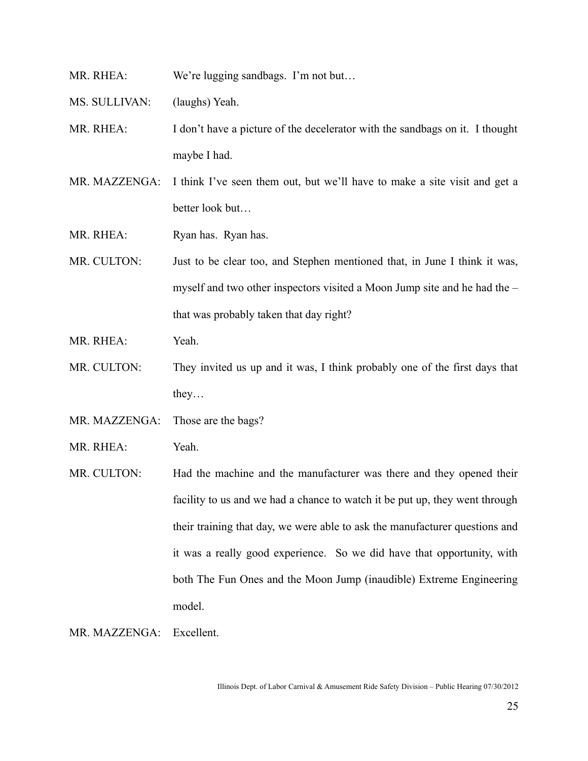- MR. RHEA: We're lugging sandbags. I'm not but...
- MS. SULLIVAN: (laughs) Yeah.
- MR. RHEA: I don't have a picture of the decelerator with the sandbags on it. I thought maybe I had.
- MR. MAZZENGA: I think I've seen them out, but we'll have to make a site visit and get a better look but…
- MR. RHEA: Ryan has. Ryan has.
- MR. CULTON: Just to be clear too, and Stephen mentioned that, in June I think it was, myself and two other inspectors visited a Moon Jump site and he had the – that was probably taken that day right?
- MR. RHEA: Yeah.
- MR. CULTON: They invited us up and it was, I think probably one of the first days that they…
- MR. MAZZENGA: Those are the bags?
- MR. RHEA: Yeah.
- MR. CULTON: Had the machine and the manufacturer was there and they opened their facility to us and we had a chance to watch it be put up, they went through their training that day, we were able to ask the manufacturer questions and it was a really good experience. So we did have that opportunity, with both The Fun Ones and the Moon Jump (inaudible) Extreme Engineering model.

MR. MAZZENGA: Excellent.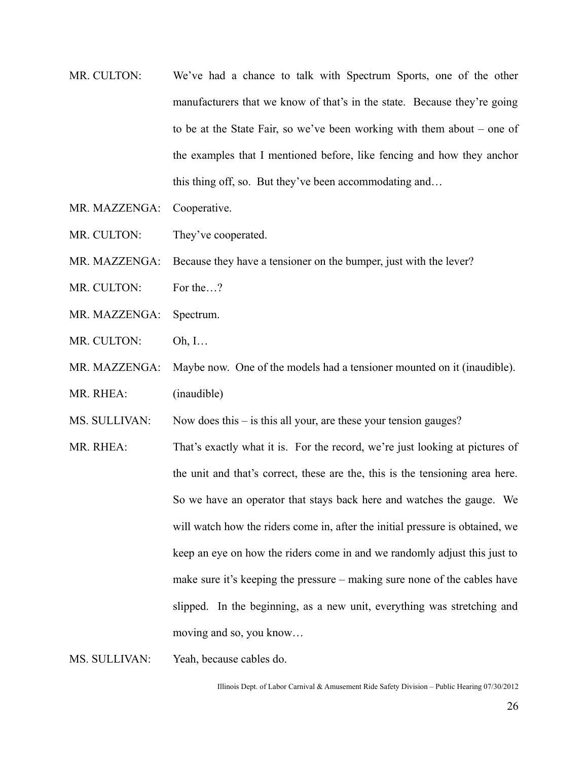- MR. CULTON: We've had a chance to talk with Spectrum Sports, one of the other manufacturers that we know of that's in the state. Because they're going to be at the State Fair, so we've been working with them about – one of the examples that I mentioned before, like fencing and how they anchor this thing off, so. But they've been accommodating and…
- MR. MAZZENGA: Cooperative.
- MR. CULTON: They've cooperated.
- MR. MAZZENGA: Because they have a tensioner on the bumper, just with the lever?
- MR. CULTON: For the...?
- MR. MAZZENGA: Spectrum.
- MR. CULTON: Oh, I…
- MR. MAZZENGA: Maybe now. One of the models had a tensioner mounted on it (inaudible).
- MR. RHEA: (inaudible)

MS. SULLIVAN: Now does this – is this all your, are these your tension gauges?

MR. RHEA: That's exactly what it is. For the record, we're just looking at pictures of the unit and that's correct, these are the, this is the tensioning area here. So we have an operator that stays back here and watches the gauge. We will watch how the riders come in, after the initial pressure is obtained, we keep an eye on how the riders come in and we randomly adjust this just to make sure it's keeping the pressure – making sure none of the cables have slipped. In the beginning, as a new unit, everything was stretching and moving and so, you know…

MS. SULLIVAN: Yeah, because cables do.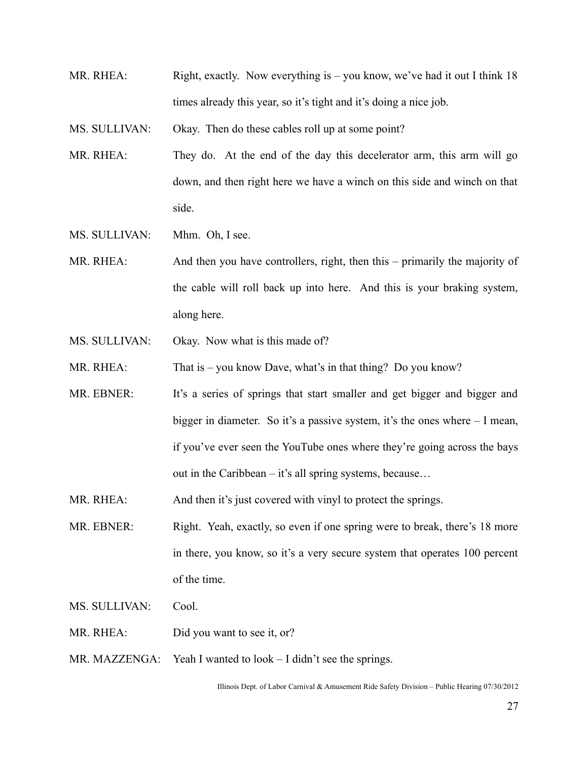MR. RHEA: Right, exactly. Now everything is – you know, we've had it out I think 18 times already this year, so it's tight and it's doing a nice job.

MS. SULLIVAN: Okay. Then do these cables roll up at some point?

- MR. RHEA: They do. At the end of the day this decelerator arm, this arm will go down, and then right here we have a winch on this side and winch on that side.
- MS. SULLIVAN: Mhm. Oh, I see.
- MR. RHEA: And then you have controllers, right, then this primarily the majority of the cable will roll back up into here. And this is your braking system, along here.
- MS. SULLIVAN: Okay. Now what is this made of?
- MR. RHEA: That is you know Dave, what's in that thing? Do you know?
- MR. EBNER: It's a series of springs that start smaller and get bigger and bigger and bigger in diameter. So it's a passive system, it's the ones where – I mean, if you've ever seen the YouTube ones where they're going across the bays out in the Caribbean – it's all spring systems, because…
- MR. RHEA: And then it's just covered with vinyl to protect the springs.
- MR. EBNER: Right. Yeah, exactly, so even if one spring were to break, there's 18 more in there, you know, so it's a very secure system that operates 100 percent of the time.
- MS. SULLIVAN: Cool.
- MR. RHEA: Did you want to see it, or?
- MR. MAZZENGA: Yeah I wanted to look I didn't see the springs.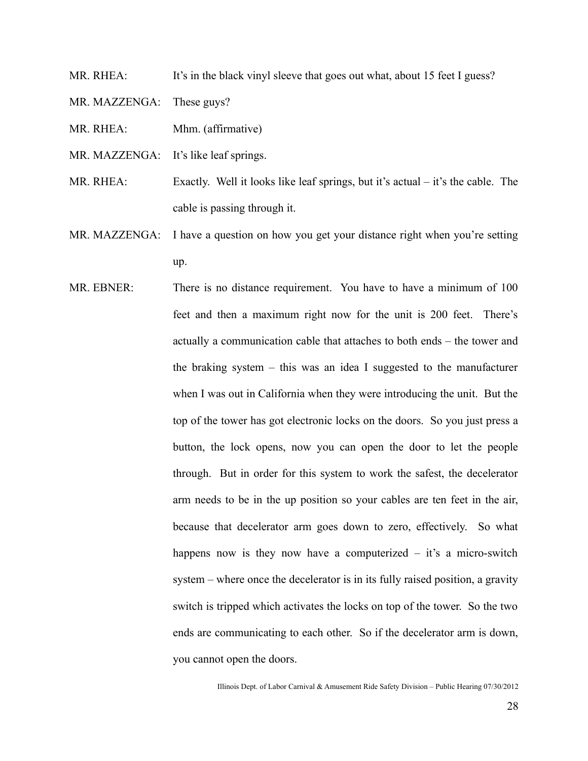MR. RHEA: It's in the black vinyl sleeve that goes out what, about 15 feet I guess?

- MR. MAZZENGA: These guys?
- MR. RHEA: Mhm. (affirmative)
- MR. MAZZENGA: It's like leaf springs.
- MR. RHEA: Exactly. Well it looks like leaf springs, but it's actual it's the cable. The cable is passing through it.
- MR. MAZZENGA: I have a question on how you get your distance right when you're setting up.
- MR. EBNER: There is no distance requirement. You have to have a minimum of 100 feet and then a maximum right now for the unit is 200 feet. There's actually a communication cable that attaches to both ends – the tower and the braking system – this was an idea I suggested to the manufacturer when I was out in California when they were introducing the unit. But the top of the tower has got electronic locks on the doors. So you just press a button, the lock opens, now you can open the door to let the people through. But in order for this system to work the safest, the decelerator arm needs to be in the up position so your cables are ten feet in the air, because that decelerator arm goes down to zero, effectively. So what happens now is they now have a computerized  $-$  it's a micro-switch system – where once the decelerator is in its fully raised position, a gravity switch is tripped which activates the locks on top of the tower. So the two ends are communicating to each other. So if the decelerator arm is down, you cannot open the doors.

Illinois Dept. of Labor Carnival & Amusement Ride Safety Division – Public Hearing 07/30/2012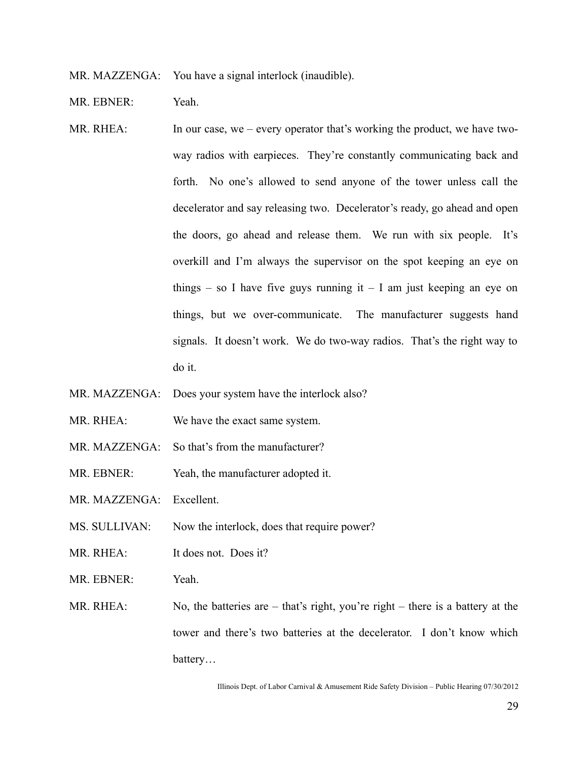MR. MAZZENGA: You have a signal interlock (inaudible).

MR. EBNER: Yeah.

- MR. RHEA: In our case, we every operator that's working the product, we have twoway radios with earpieces. They're constantly communicating back and forth. No one's allowed to send anyone of the tower unless call the decelerator and say releasing two. Decelerator's ready, go ahead and open the doors, go ahead and release them. We run with six people. It's overkill and I'm always the supervisor on the spot keeping an eye on things – so I have five guys running it – I am just keeping an eye on things, but we over-communicate. The manufacturer suggests hand signals. It doesn't work. We do two-way radios. That's the right way to do it.
- MR. MAZZENGA: Does your system have the interlock also?
- MR. RHEA: We have the exact same system.
- MR. MAZZENGA: So that's from the manufacturer?
- MR. EBNER: Yeah, the manufacturer adopted it.
- MR. MAZZENGA: Excellent.
- MS. SULLIVAN: Now the interlock, does that require power?
- MR. RHEA: It does not. Does it?
- MR. EBNER: Yeah.
- MR. RHEA: No, the batteries are that's right, you're right there is a battery at the tower and there's two batteries at the decelerator. I don't know which battery…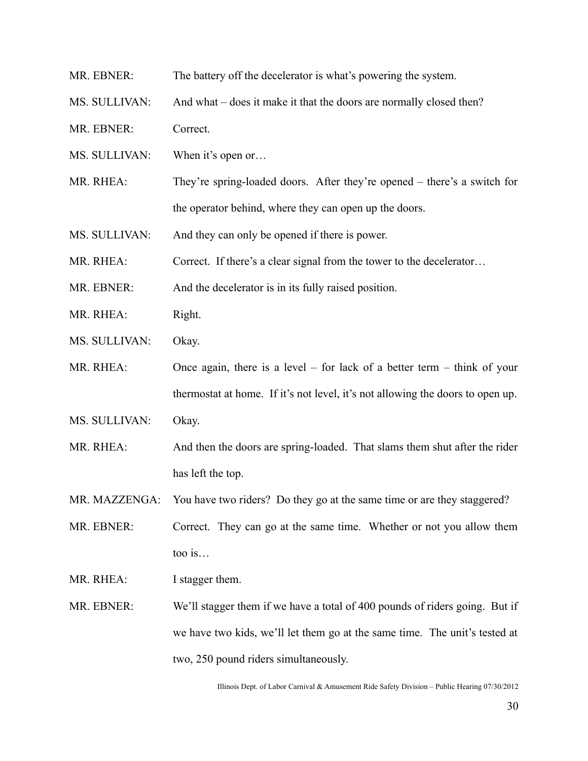- MR. EBNER: The battery off the decelerator is what's powering the system.
- MS. SULLIVAN: And what does it make it that the doors are normally closed then?
- MR. EBNER: Correct.
- MS. SULLIVAN: When it's open or...
- MR. RHEA: They're spring-loaded doors. After they're opened there's a switch for the operator behind, where they can open up the doors.
- MS. SULLIVAN: And they can only be opened if there is power.
- MR. RHEA: Correct. If there's a clear signal from the tower to the decelerator...
- MR. EBNER: And the decelerator is in its fully raised position.
- MR. RHEA: Right.
- MS. SULLIVAN: Okay.
- MR. RHEA: Once again, there is a level for lack of a better term think of your thermostat at home. If it's not level, it's not allowing the doors to open up.
- MS. SULLIVAN: Okay.
- MR. RHEA: And then the doors are spring-loaded. That slams them shut after the rider has left the top.
- MR. MAZZENGA: You have two riders? Do they go at the same time or are they staggered?
- MR. EBNER: Correct. They can go at the same time. Whether or not you allow them too is…
- MR. RHEA: I stagger them.
- MR. EBNER: We'll stagger them if we have a total of 400 pounds of riders going. But if we have two kids, we'll let them go at the same time. The unit's tested at two, 250 pound riders simultaneously.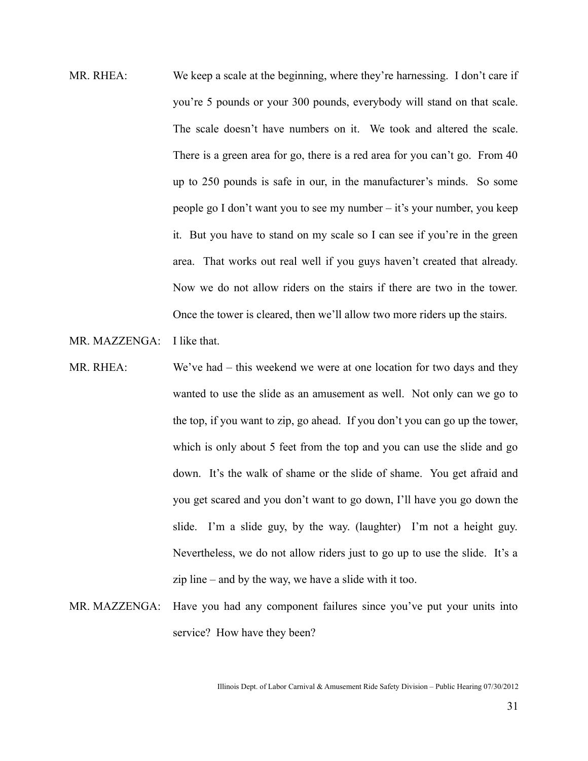MR. RHEA: We keep a scale at the beginning, where they're harnessing. I don't care if you're 5 pounds or your 300 pounds, everybody will stand on that scale. The scale doesn't have numbers on it. We took and altered the scale. There is a green area for go, there is a red area for you can't go. From 40 up to 250 pounds is safe in our, in the manufacturer's minds. So some people go I don't want you to see my number – it's your number, you keep it. But you have to stand on my scale so I can see if you're in the green area. That works out real well if you guys haven't created that already. Now we do not allow riders on the stairs if there are two in the tower. Once the tower is cleared, then we'll allow two more riders up the stairs.

MR. MAZZENGA: I like that.

- MR. RHEA: We've had this weekend we were at one location for two days and they wanted to use the slide as an amusement as well. Not only can we go to the top, if you want to zip, go ahead. If you don't you can go up the tower, which is only about 5 feet from the top and you can use the slide and go down. It's the walk of shame or the slide of shame. You get afraid and you get scared and you don't want to go down, I'll have you go down the slide. I'm a slide guy, by the way. (laughter) I'm not a height guy. Nevertheless, we do not allow riders just to go up to use the slide. It's a zip line – and by the way, we have a slide with it too.
- MR. MAZZENGA: Have you had any component failures since you've put your units into service? How have they been?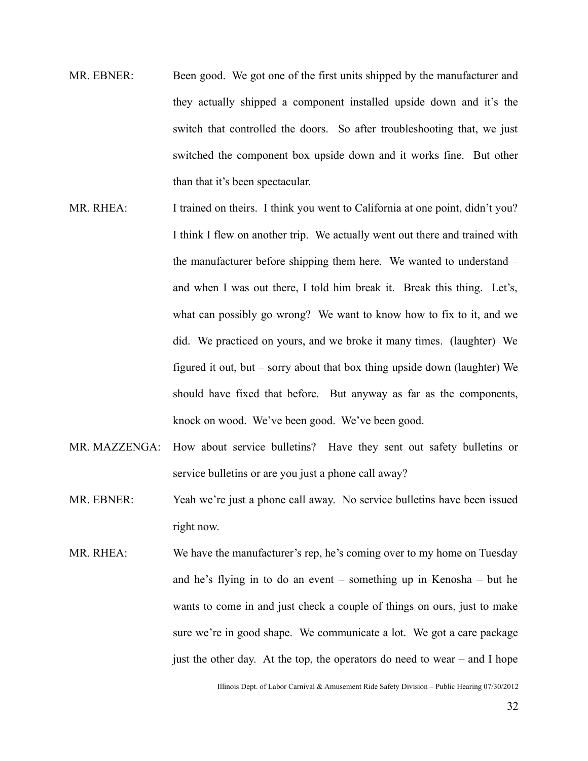- MR. EBNER: Been good. We got one of the first units shipped by the manufacturer and they actually shipped a component installed upside down and it's the switch that controlled the doors. So after troubleshooting that, we just switched the component box upside down and it works fine. But other than that it's been spectacular.
- MR. RHEA: I trained on theirs. I think you went to California at one point, didn't you? I think I flew on another trip. We actually went out there and trained with the manufacturer before shipping them here. We wanted to understand – and when I was out there, I told him break it. Break this thing. Let's, what can possibly go wrong? We want to know how to fix to it, and we did. We practiced on yours, and we broke it many times. (laughter) We figured it out, but – sorry about that box thing upside down (laughter) We should have fixed that before. But anyway as far as the components, knock on wood. We've been good. We've been good.
- MR. MAZZENGA: How about service bulletins? Have they sent out safety bulletins or service bulletins or are you just a phone call away?
- MR. EBNER: Yeah we're just a phone call away. No service bulletins have been issued right now.
- MR. RHEA: We have the manufacturer's rep, he's coming over to my home on Tuesday and he's flying in to do an event – something up in Kenosha – but he wants to come in and just check a couple of things on ours, just to make sure we're in good shape. We communicate a lot. We got a care package just the other day. At the top, the operators do need to wear  $-$  and I hope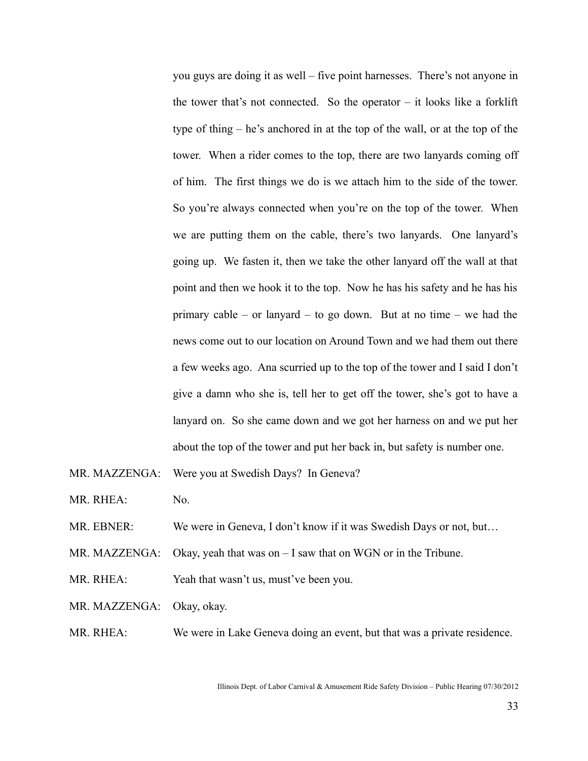you guys are doing it as well – five point harnesses. There's not anyone in the tower that's not connected. So the operator  $-$  it looks like a forklift type of thing – he's anchored in at the top of the wall, or at the top of the tower. When a rider comes to the top, there are two lanyards coming off of him. The first things we do is we attach him to the side of the tower. So you're always connected when you're on the top of the tower. When we are putting them on the cable, there's two lanyards. One lanyard's going up. We fasten it, then we take the other lanyard off the wall at that point and then we hook it to the top. Now he has his safety and he has his primary cable – or lanyard – to go down. But at no time – we had the news come out to our location on Around Town and we had them out there a few weeks ago. Ana scurried up to the top of the tower and I said I don't give a damn who she is, tell her to get off the tower, she's got to have a lanyard on. So she came down and we got her harness on and we put her about the top of the tower and put her back in, but safety is number one.

MR. MAZZENGA: Were you at Swedish Days? In Geneva?

MR. RHEA: No.

- MR. EBNER: We were in Geneva, I don't know if it was Swedish Days or not, but...
- MR. MAZZENGA: Okay, yeah that was on I saw that on WGN or in the Tribune.

MR. RHEA: Yeah that wasn't us, must've been you.

- MR. MAZZENGA: Okay, okay.
- MR. RHEA: We were in Lake Geneva doing an event, but that was a private residence.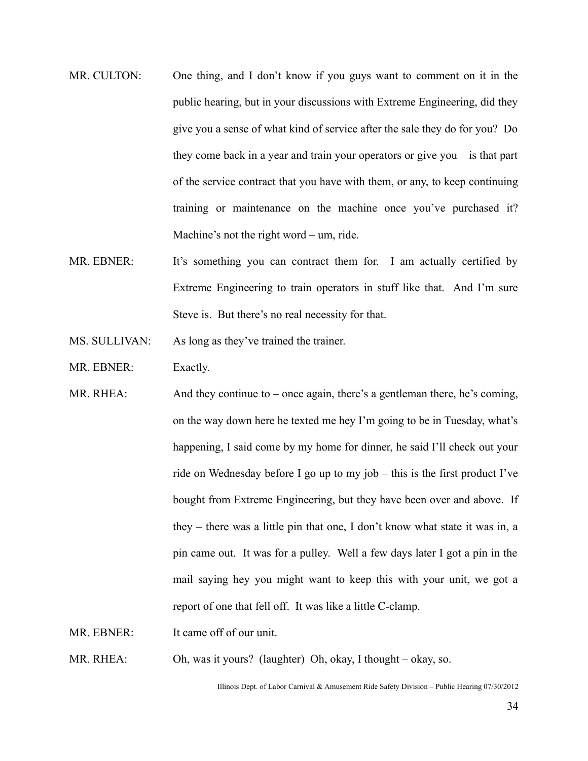- MR. CULTON: One thing, and I don't know if you guys want to comment on it in the public hearing, but in your discussions with Extreme Engineering, did they give you a sense of what kind of service after the sale they do for you? Do they come back in a year and train your operators or give you – is that part of the service contract that you have with them, or any, to keep continuing training or maintenance on the machine once you've purchased it? Machine's not the right word – um, ride.
- MR. EBNER: It's something you can contract them for. I am actually certified by Extreme Engineering to train operators in stuff like that. And I'm sure Steve is. But there's no real necessity for that.
- MS. SULLIVAN: As long as they've trained the trainer.
- MR. EBNER: Exactly.
- MR. RHEA: And they continue to once again, there's a gentleman there, he's coming, on the way down here he texted me hey I'm going to be in Tuesday, what's happening, I said come by my home for dinner, he said I'll check out your ride on Wednesday before I go up to my job – this is the first product I've bought from Extreme Engineering, but they have been over and above. If they – there was a little pin that one, I don't know what state it was in, a pin came out. It was for a pulley. Well a few days later I got a pin in the mail saying hey you might want to keep this with your unit, we got a report of one that fell off. It was like a little C-clamp.

MR. EBNER: It came off of our unit.

MR. RHEA: Oh, was it yours? (laughter) Oh, okay, I thought – okay, so.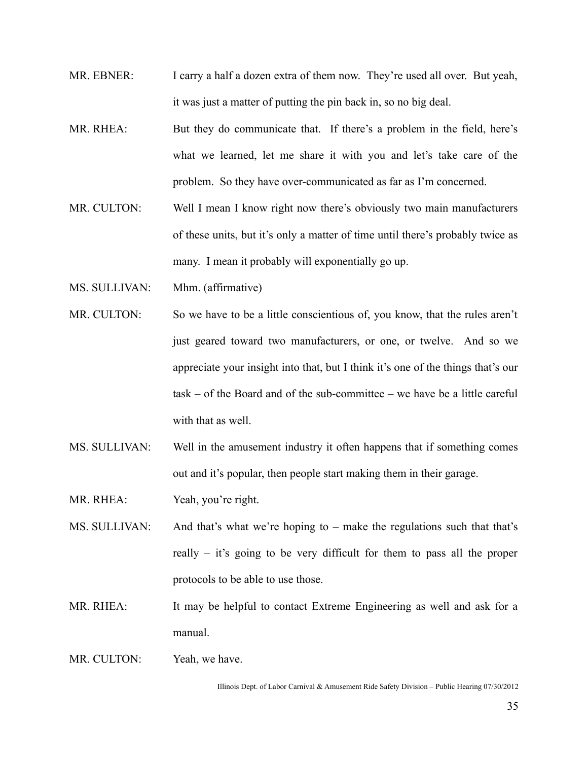- MR. EBNER: I carry a half a dozen extra of them now. They're used all over. But yeah, it was just a matter of putting the pin back in, so no big deal.
- MR. RHEA: But they do communicate that. If there's a problem in the field, here's what we learned, let me share it with you and let's take care of the problem. So they have over-communicated as far as I'm concerned.
- MR. CULTON: Well I mean I know right now there's obviously two main manufacturers of these units, but it's only a matter of time until there's probably twice as many. I mean it probably will exponentially go up.
- MS. SULLIVAN: Mhm. (affirmative)
- MR. CULTON: So we have to be a little conscientious of, you know, that the rules aren't just geared toward two manufacturers, or one, or twelve. And so we appreciate your insight into that, but I think it's one of the things that's our task – of the Board and of the sub-committee – we have be a little careful with that as well.
- MS. SULLIVAN: Well in the amusement industry it often happens that if something comes out and it's popular, then people start making them in their garage.
- MR. RHEA: Yeah, you're right.
- MS. SULLIVAN: And that's what we're hoping to make the regulations such that that's really – it's going to be very difficult for them to pass all the proper protocols to be able to use those.
- MR. RHEA: It may be helpful to contact Extreme Engineering as well and ask for a manual.
- MR. CULTON: Yeah, we have.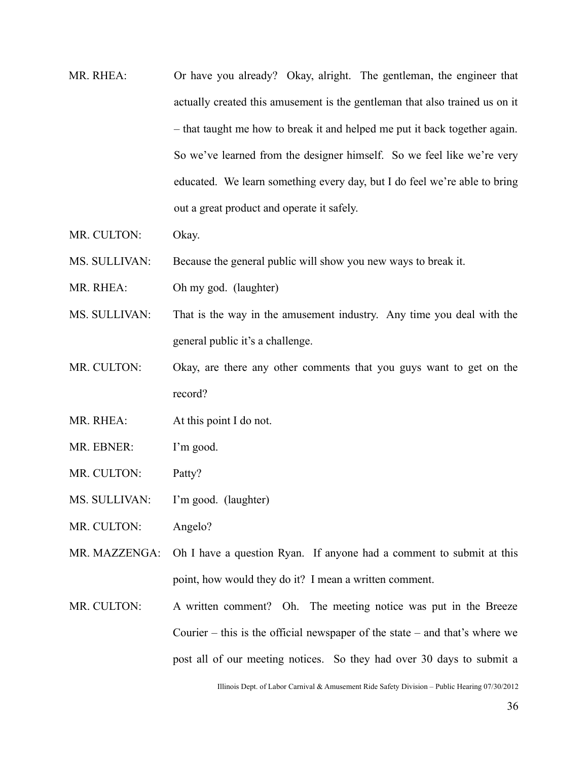- MR. RHEA: Or have you already? Okay, alright. The gentleman, the engineer that actually created this amusement is the gentleman that also trained us on it – that taught me how to break it and helped me put it back together again. So we've learned from the designer himself. So we feel like we're very educated. We learn something every day, but I do feel we're able to bring out a great product and operate it safely.
- MR. CULTON: Okay.
- MS. SULLIVAN: Because the general public will show you new ways to break it.
- MR. RHEA: Oh my god. (laughter)
- MS. SULLIVAN: That is the way in the amusement industry. Any time you deal with the general public it's a challenge.
- MR. CULTON: Okay, are there any other comments that you guys want to get on the record?
- MR. RHEA: At this point I do not.
- MR. EBNER: I'm good.
- MR. CULTON: Patty?
- MS. SULLIVAN: I'm good. (laughter)
- MR. CULTON: Angelo?
- MR. MAZZENGA: Oh I have a question Ryan. If anyone had a comment to submit at this point, how would they do it? I mean a written comment.
- MR. CULTON: A written comment? Oh. The meeting notice was put in the Breeze Courier – this is the official newspaper of the state – and that's where we post all of our meeting notices. So they had over 30 days to submit a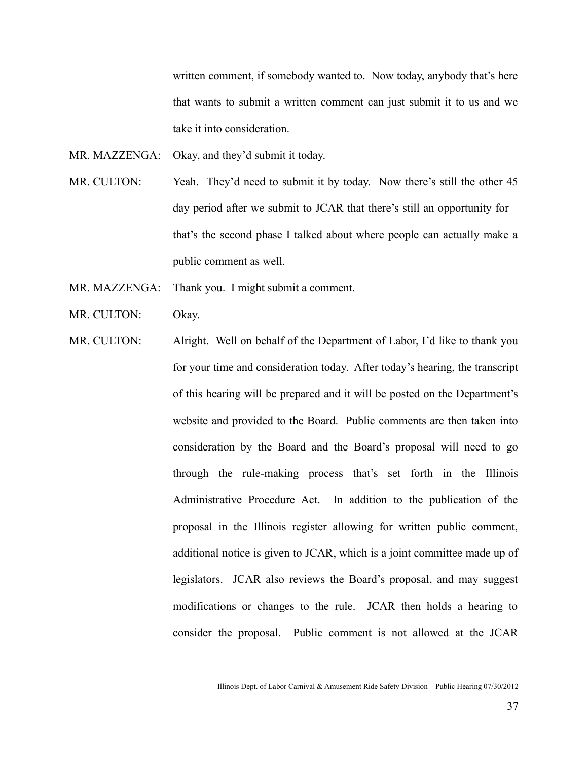written comment, if somebody wanted to. Now today, anybody that's here that wants to submit a written comment can just submit it to us and we take it into consideration.

- MR. MAZZENGA: Okay, and they'd submit it today.
- MR. CULTON: Yeah. They'd need to submit it by today. Now there's still the other 45 day period after we submit to JCAR that there's still an opportunity for – that's the second phase I talked about where people can actually make a public comment as well.
- MR. MAZZENGA: Thank you. I might submit a comment.
- MR. CULTON: Okay.
- MR. CULTON: Alright. Well on behalf of the Department of Labor, I'd like to thank you for your time and consideration today. After today's hearing, the transcript of this hearing will be prepared and it will be posted on the Department's website and provided to the Board. Public comments are then taken into consideration by the Board and the Board's proposal will need to go through the rule-making process that's set forth in the Illinois Administrative Procedure Act. In addition to the publication of the proposal in the Illinois register allowing for written public comment, additional notice is given to JCAR, which is a joint committee made up of legislators. JCAR also reviews the Board's proposal, and may suggest modifications or changes to the rule. JCAR then holds a hearing to consider the proposal. Public comment is not allowed at the JCAR